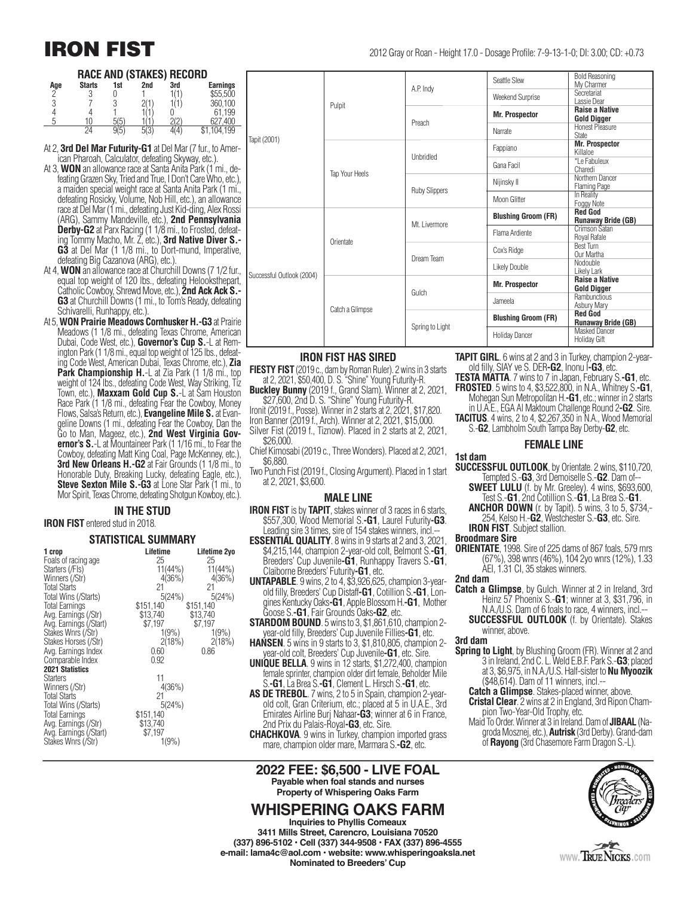#### **RACE AND (STAKES) RECORD**

| Age     | <b>Starts</b> | 1st    | 2nd         | 3rd  | <b>Earnings</b> |
|---------|---------------|--------|-------------|------|-----------------|
| $\sim$  |               |        |             | 1(1) | \$55,500        |
| C<br>J) |               | J<br>J |             |      | 360,100         |
|         |               |        |             |      | 61.199          |
| г       | 10            | 5(5)   |             | 2(2) | .400            |
|         | 24            | 9(5)   | 5/2<br>JIJ. | (4)  | \$1,104,199     |

- At 2, **3rd Del Mar Futurity-G1** at Del Mar (7 fur., to American Pharoah, Calculator, defeating Skyway, etc.).
- At 3, **WON** an allowance race at Santa Anita Park (1 mi., de- feating Grazen Sky, Tried and True, I Don't Care Who, etc.), a maiden special weight race at Santa Anita Park (1 mi., defeating Rosicky, Volume, Nob Hill, etc.), an allowance race at Del Mar (1 mi., defeating Just Kid-ding, Alex Rossi (ARG), Sammy Mandeville, etc.), **2nd Pennsylvania Derby-G2** at Parx Racing (1 1/8 mi., to Frosted, defeating Tommy Macho, Mr. Z, etc.), **3rd Native Diver S.- G3** at Del Mar (1 1/8 mi., to Dort-mund, Imperative, defeating Big Cazanova (ARG), etc.)
- At 4, **WON** an allowance race at Churchill Downs (7 1/2 fur., equal top weight of 120 lbs., defeating Helooksthepart, Catholic Cowboy, Shrewd Move, etc.), **2nd Ack Ack S.- G3** at Churchill Downs (1 mi., to Tom's Ready, defeating Schivarelli, Runhappy, etc.)
- At 5, **WON Prairie Meadows Cornhusker H.-G3** at Prairie Meadows (1 1/8 mi., defeating Texas Chrome, American Dubai, Code West, etc.), **Governor's Cup S.**-L at Rem ington Park (1 1/8 mi., equal top weight of 125 lbs., defeating Code West, American Dubai, Texas Chrome, etc.), **Zia Park Championship H.-L at Zia Park (1 1/8 mi., top** weight of 124 lbs., defeating Code West, Way Striking, Tiz Town, etc.), **Maxxam Gold Cup S.**-L at Sam Houston Race Park (1 1/8 mi., defeating Fear the Cowboy, Money Flows, Salsa's Return, etc.), **Evangeline Mile S.** at Evangeline Downs (1 mi., defeating Fear the Cowboy, Dan the Go to Man, Mageez, etc.), **2nd West Virginia Governor's S.**-L at Mountaineer Park (1 1/16 mi., to Fear the Cowboy, defeating Matt King Coal, Page McKenney, etc.), **3rd New Orleans H.-G2** at Fair Grounds (1 1/8 mi., to Honorable Duty, Breaking Lucky, defeating Eagle, etc.), **Steve Sexton Mile S.-G3** at Lone Star Park (1 mi., to Mor Spirit, Texas Chrome, defeating Shotgun Kowboy, etc.).

#### **IN THE STUD**

#### **IRON FIST** entered stud in 2018.

#### **STATISTICAL SUMMARY**

| 1 crop                 | Lifetime   | Lifetime 2yo |
|------------------------|------------|--------------|
| Foals of racing age    | 25         | 25           |
| Starters (/Fls)        | $11(44\%)$ | $11(44\%)$   |
| Winners (/Str)         | 4(36%)     | 4(36%)       |
| <b>Total Starts</b>    | 21         | 21           |
| Total Wins (/Starts)   | 5(24%)     | 5(24%)       |
| <b>Total Earnings</b>  | \$151,140  | \$151,140    |
| Avg. Earnings (/Str)   | \$13.740   | \$13,740     |
| Avg. Earnings (/Start) | \$7,197    | \$7,197      |
| Stakes Wnrs (/Str)     | 1(9%)      | 1(9%)        |
| Stakes Horses (/Str)   | 2(18%)     | 2(18%)       |
| Avg. Earnings Index    | 0.60       | 0.86         |
| Comparable Index       | 0.92       |              |
| <b>2021 Statistics</b> |            |              |
| <b>Starters</b>        | 11         |              |
| Winners (/Str)         | 4(36%)     |              |
| <b>Total Starts</b>    | 21         |              |
| Total Wins (/Starts)   | 5(24%)     |              |
| Total Earnings         | \$151,140  |              |
| Avg. Earnings (/Str)   | \$13,740   |              |
| Avg. Earnings (/Start) | \$7,197    |              |
| Stakes Wnrs (/Str)     | 1(9%       |              |

|                           | Pulpit          | A.P. Indy            | Seattle Slew               | <b>Bold Reasoning</b><br>My Charmer         |
|---------------------------|-----------------|----------------------|----------------------------|---------------------------------------------|
|                           |                 |                      | <b>Weekend Surprise</b>    | Secretariat<br>Lassie Dear                  |
|                           |                 | Preach               | <b>Mr. Prospector</b>      | <b>Raise a Native</b><br><b>Gold Digger</b> |
|                           |                 |                      | Narrate                    | <b>Honest Pleasure</b><br><b>State</b>      |
| Tapit (2001)              | Tap Your Heels  | Unbridled            | Fappiano                   | <b>Mr. Prospector</b><br>Killaloe           |
|                           |                 |                      | Gana Facil                 | *Le Fabuleux<br>Charedi                     |
|                           |                 | <b>Ruby Slippers</b> | Nijinsky II                | Northern Dancer<br>Flaming Page             |
|                           |                 |                      | Moon Glitter               | In Reality<br>Foggy Note                    |
|                           | Orientate       | Mt. Livermore        | <b>Blushing Groom (FR)</b> | <b>Red God</b><br><b>Runaway Bride (GB)</b> |
|                           |                 |                      | Flama Ardiente             | Crimson Satan<br>Royal Rafale               |
|                           |                 | Dream Team           | Cox's Ridge                | <b>Best Turn</b><br>Our Martha              |
| Successful Outlook (2004) |                 |                      | Likely Double              | Nodouble<br>Likely Lark                     |
|                           | Catch a Glimpse | Gulch                | <b>Mr. Prospector</b>      | <b>Raise a Native</b><br><b>Gold Digger</b> |
|                           |                 |                      | Jameela                    | Rambunctious<br>Asbury Mary                 |
|                           |                 | Spring to Light      | <b>Blushing Groom (FR)</b> | <b>Red God</b><br><b>Runaway Bride (GB)</b> |
|                           |                 |                      | <b>Holiday Dancer</b>      | Masked Dancer<br>Holiday Gift               |

#### **IRON FIST HAS SIRED**

- **FIESTY FIST** (2019 c., dam by Roman Ruler). 2 wins in 3 starts at 2, 2021, \$50,400, D. S. "Shine" Young Futurity-R.
- **Buckley Bunny** (2019 f., Grand Slam). Winner at 2, 2021, \$27,600, 2nd D. S. "Shine" Young Futurity-R.

Ironit (2019 f., Posse). Winner in 2 starts at 2, 2021, \$17,820. Iron Banner (2019 f., Arch). Winner at 2, 2021, \$15,000. Silver Fist (2019 f., Tiznow). Placed in 2 starts at 2, 2021,

- \$26,000.
- Chief Kimosabi (2019 c., Three Wonders). Placed at 2, 2021, \$6,880.
- Two Punch Fist (2019 f., Closing Argument). Placed in 1 start at 2, 2021, \$3,600.

#### **MALE LINE**

- **IRON FIST** is by **TAPIT**, stakes winner of 3 races in 6 starts, \$557,300, Wood Memorial S.**-G1**, Laurel Futurity**-G3**. Leading sire 3 times, sire of 154 stakes winners, incl.--
- **ESSENTIAL QUALITY**. 8 wins in 9 starts at 2 and 3, 2021, \$4,215,144, champion 2-year-old colt, Belmont S.-**G1**, \$4,215,144, champion 2-year-old colt, Belmont S.**-G1**, Breeders' Cup Juvenile**-G1**, Runhappy Travers S.**-G1**, Claiborne Breeders' Futurity**-G1**, etc.
- **UNTAPABLE**. 9 wins, 2 to 4, \$3,926,625, champion 3-yearold filly, Breeders' Cup Distaff**-G1**, Cotillion S.**-G1**, Longines Kentucky Oaks**-G1**, Apple Blossom H.**-G1**, Mother Goose S.**-G1**, Fair Grounds Oaks**-G2**, etc.
- **STARDOM BOUND**. 5 wins to 3, \$1,861,610, champion 2 year-old filly, Breeders' Cup Juvenile Fillies**-G1**, etc.
- **HANSEN**. 5 wins in 9 starts to 3, \$1,810,805, champion 2 year-old colt, Breeders' Cup Juvenile**-G1**, etc. Sire.
- **UNIQUE BELLA**. 9 wins in 12 starts, \$1,272,400, champion female sprinter, champion older dirt female, Beholder Mile S.**-G1**, La Brea S.**-G1**, Clement L. Hirsch S.**-G1**, etc.
- **AS DE TREBOL**. 7 wins, 2 to 5 in Spain, champion 2-yearold colt, Gran Criterium, etc.; placed at 5 in U.A.E., 3rd Emirates Airline Burj Nahaar**-G3**; winner at 6 in France, 2nd Prix du Palais-Royal**-G3**, etc. Sire.
- **CHACHKOVA**. 9 wins in Turkey, champion imported grass mare, champion older mare, Marmara S.**-G2**, etc.

**2022 FEE: \$6,500 - LIVE FOAL Payable when foal stands and nurses Property of Whispering Oaks Farm**

#### **WHISPERING OAKS FARM**

**Inquiries to Phyllis Comeaux 3411 Mills Street, Carencro, Louisiana 70520 (337) 896-5102 • Cell (337) 344-9508 • FAX (337) 896-4555 e-mail: lama4c@aol.com • website: www.whisperingoaksla.net Nominated to Breeders' Cup**

**TAPIT GIRL**. 6 wins at 2 and 3 in Turkey, champion 2-yearold filly, SIAY ve S. DER**-G2**, Inonu I**-G3**, etc.

**TESTA MATTA**. 7 wins to 7 in Japan, February S.**-G1**, etc. **FROSTED**. 5 wins to 4, \$3,522,800, in N.A., Whitney S.**-G1**,

Mohegan Sun Metropolitan H.**-G1**, etc.; winner in 2 starts in U.A.E., EGA Al Maktoum Challenge Round 2**-G2**. Sire. **TACITUS**. 4 wins, 2 to 4, \$2,267,350 in N.A., Wood Memorial

S.-**G2**, Lambholm South Tampa Bay Derby-**G2**, etc.

#### **FEMALE LINE**

**1st dam**

- **SUCCESSFUL OUTLOOK**, by Orientate. 2 wins, \$110,720, Tempted S.-**G3**, 3rd Demoiselle S.-**G2**. Dam of--
	- **SWEET LULU** (f. by Mr. Greeley). 4 wins, \$693,600, Test S.-**G1**, 2nd Cotillion S.-**G1**, La Brea S.-**G1**.
	- **ANCHOR DOWN** (r. by Tapit). 5 wins, 3 to 5, \$734,- 254, Kelso H.-**G2**, Westchester S.-**G3**, etc. Sire. **IRON FIST**. Subject stallion.

#### **Broodmare Sire**

**ORIENTATE**, 1998. Sire of 225 dams of 867 foals, 579 rnrs (67%), 398 wnrs (46%), 104 2yo wnrs (12%), 1.33 AEI, 1.31 CI, 35 stakes winners.

#### **2nd dam**

- **Catch a Glimpse**, by Gulch. Winner at 2 in Ireland, 3rd Heinz 57 Phoenix S.-**G1**; winner at 3, \$31,796, in N.A./U.S. Dam of 6 foals to race, 4 winners, incl.-
	- **SUCCESSFUL OUTLOOK** (f. by Orientate). Stakes winner, above.

#### **3rd dam**

- **Spring to Light**, by Blushing Groom (FR). Winner at 2 and 3 in Ireland, 2nd C. L. Weld E.B.F. Park S.-**G3**; placed at 3, \$6,975, in N.A./U.S. Half-sister to **Nu Myoozik** (\$48,614). Dam of 11 winners, incl.--
	- **Catch a Glimpse**. Stakes-placed winner, above.
	- **Cristal Clear**. 2 wins at 2 in England, 3rd Ripon Champion Two-Year-Old Trophy, etc.
	- Maid To Order. Winner at 3 in Ireland. Dam of **JIBAAL** (Nagroda Mosznej, etc.), **Autrisk** (3rd Derby). Grand-dam of **Rayong** (3rd Chasemore Farm Dragon S.-L).



www.TRUENICKS.com